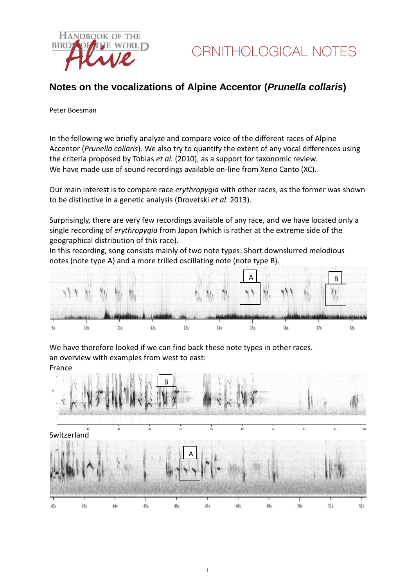

### **Notes on the vocalizations of Alpine Accentor (***Prunella collaris***)**

Peter Boesman

In the following we briefly analyze and compare voice of the different races of Alpine Accentor (*Prunella collaris*)*.* We also try to quantify the extent of any vocal differences using the criteria proposed by Tobias *et al.* (2010), as a support for taxonomic review. We have made use of sound recordings available on-line from Xeno Canto (XC).

Our main interest is to compare race *erythropygia* with other races, as the former was shown to be distinctive in a genetic analysis (Drovetski *et al.* 2013).

Surprisingly, there are very few recordings available of any race, and we have located only a single recording of *erythropygia* from Japan (which is rather at the extreme side of the geographical distribution of this race).

In this recording, song consists mainly of two note types: Short downslurred melodious notes (note type A) and a more trilled oscillating note (note type B).



We have therefore looked if we can find back these note types in other races. an overview with examples from west to east: France

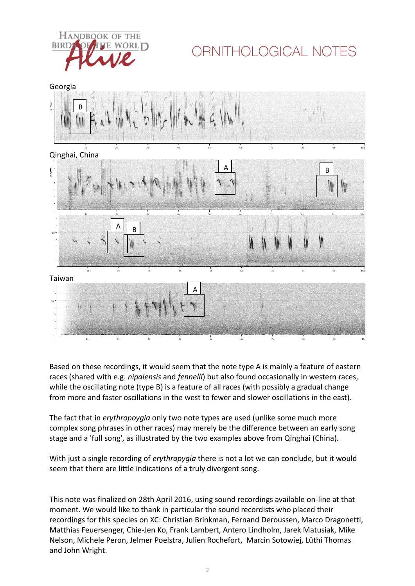

# ORNITHOLOGICAL NOTES



Based on these recordings, it would seem that the note type A is mainly a feature of eastern races (shared with e.g. *nipalensis* and *fennelli*) but also found occasionally in western races, while the oscillating note (type B) is a feature of all races (with possibly a gradual change from more and faster oscillations in the west to fewer and slower oscillations in the east).

The fact that in *erythropoygia* only two note types are used (unlike some much more complex song phrases in other races) may merely be the difference between an early song stage and a 'full song', as illustrated by the two examples above from Qinghai (China).

With just a single recording of *erythropygia* there is not a lot we can conclude, but it would seem that there are little indications of a truly divergent song.

This note was finalized on 28th April 2016, using sound recordings available on-line at that moment. We would like to thank in particular the sound recordists who placed their recordings for this species on XC: Christian Brinkman, Fernand Deroussen, Marco Dragonetti, Matthias Feuersenger, Chie-Jen Ko, Frank Lambert, Antero Lindholm, Jarek Matusiak, Mike Nelson, Michele Peron, Jelmer Poelstra, Julien Rochefort, Marcin Sotowiej, Lüthi Thomas and John Wright.